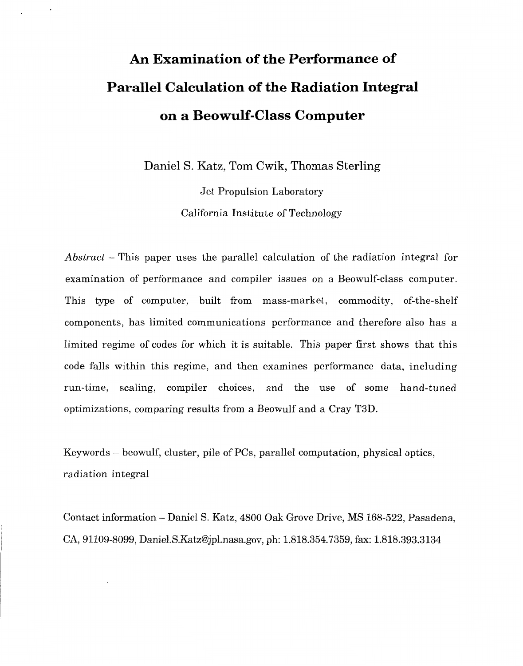# **An Examination of the Performance of Parallel Calculation of the Radiation Integral on a Beowulf-Class Computer**

Daniel S. Katz, Tom Cwik, Thomas Sterling

Jet Propulsion Laboratory California Institute of Technology

*Abstract* - This paper uses the parallel calculation of the radiation integral for examination of performance and compiler issues on a Beowulf-class computer. This type of computer, built from mass-market, commodity, of-the-shelf components, has limited communications performance and therefore also has a limited regime of codes for which it is suitable. This paper first shows that this code falls within this regime, and then examines performance data, including run-time, scaling, compiler choices, and the use of some hand-tuned optimizations, comparing results from a Beowulf and a Cray T3D.

Keywords - beowulf, cluster, pile of PCs, parallel computation, physical optics, radiation integral

Contact information - Daniel *S.* Katz, 4800 Oak Grove Drive, MS 168-522, Pasadena, CA, 91109-8099, [Daniel.S.Katz@jpl.nasa.gov](mailto:Daniel.S.Katz@jpl.nasa.gov), ph: 1.818.354.7359, fax: 1.818.393.3134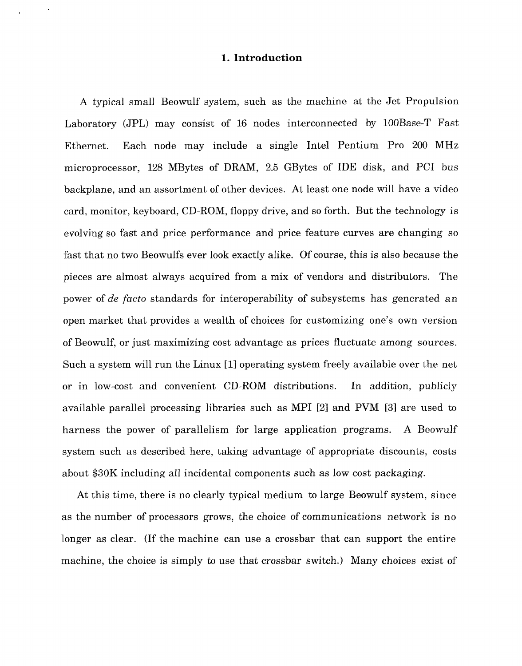#### **1. Introduction**

A typical small Beowulf system, such as the machine at the Jet Propulsion Laboratory (JPL) may consist of 16 nodes interconnected by 100Base-T Fast Ethernet. Each node may include a single Intel Pentium Pro 200 MHz microprocessor, 128 MBytes of DRAM, 2.5 GBytes of IDE disk, and PC1 bus backplane, and an assortment of other devices. At least one node will have a video card, monitor, keyboard, CD-ROM, floppy drive, and so forth. But the technology is evolving so fast and price performance and price feature curves are changing so fast that no two Beowulfs ever look exactly alike. Of course, this is also because the pieces are almost always acquired from a mix of vendors and distributors. The power of *de facto* standards for interoperability of subsystems has generated an open market that provides a wealth of choices for customizing one's own version of Beowulf, or just maximizing cost advantage as prices fluctuate among sources. Such a system will run the Linux [11 operating system freely available over the net or in low-cost and convenient CD-ROM distributions. In addition, publicly available parallel processing libraries such as MPI [2] and PVM **[SI** are used to harness the power of parallelism for large application programs. **A** Beowulf system such as described here, taking advantage of appropriate discounts, costs about \$30K including all incidental components such as low cost packaging.

At this time, there is no clearly typical medium to large Beowulf system, since as the number of processors grows, the choice of communications network is no longer as clear. (If the machine can use a crossbar that can support the entire machine, the choice is simply to use that crossbar switch.) Many choices exist of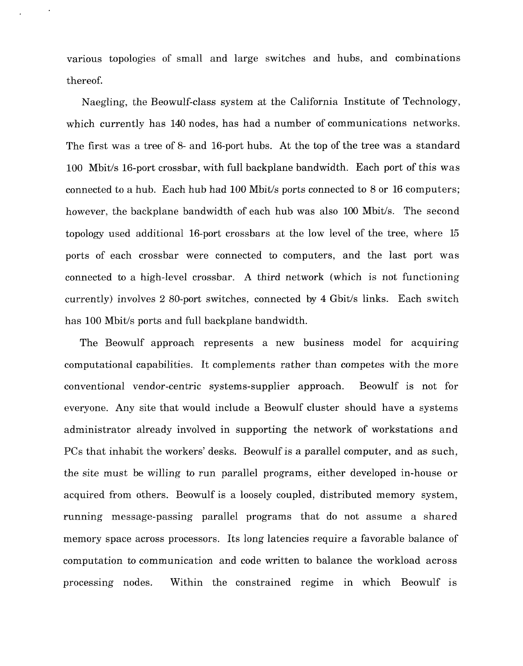various topologies of small and large switches and hubs, and combinations thereof.

Naegling, the Beowulf-class system at the California Institute of Technology, which currently has 140 nodes, has had a number of communications networks. The first was a tree of *8-* and 16-port hubs. At the top of the tree was a standard 100 Mbit/s 16-port crossbar, with full backplane bandwidth. Each port of this was connected to a hub. Each hub had 100 Mbit/s ports connected to *8* or 16 computers; however, the backplane bandwidth of each hub was also 100 Mbit/s. The second topology used additional 16-port crossbars at the low level of the tree, where 15 ports of each crossbar were connected to computers, and the last port was connected to a high-level crossbar. A third network (which is not functioning currently) involves 2 80-port switches, connected by **4** Gbit/s links. Each switch has 100 Mbit/s ports and full backplane bandwidth.

The Beowulf approach represents a new business model for acquiring computational capabilities. It complements rather than competes with the more conventional vendor-centric systems-supplier approach. Beowulf is not for everyone. Any site that would include a Beowulf cluster should have a systems administrator already involved in supporting the network of workstations and PCs that inhabit the workers' desks. Beowulf is a parallel computer, and as such, the site must be willing to run parallel programs, either developed in-house or acquired from others. Beowulf is a loosely coupled, distributed memory system, running message-passing parallel programs that do not assume a shared memory space across processors. Its long latencies require a favorable balance of computation to communication and code written to balance the workload across processing nodes. Within the constrained regime in which Beowulf is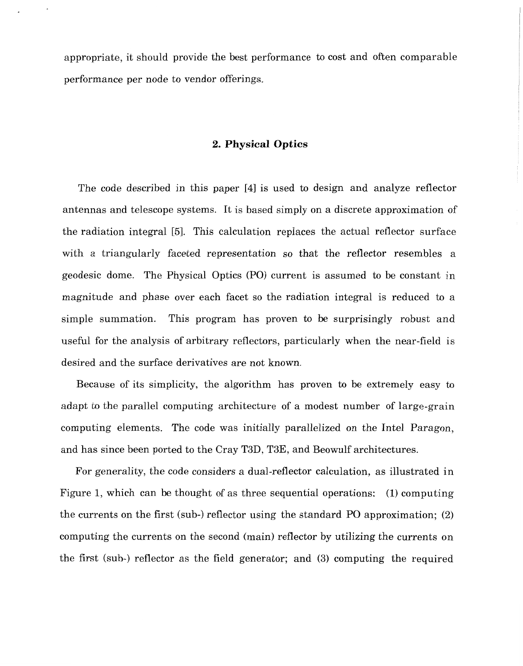appropriate, it should provide the best performance to cost and often comparable performance per node to vendor offerings.

### **2. Physical Optics**

The code described in this paper **[4]** is used to design and analyze reflector antennas and telescope systems. It is based simply on a discrete approximation of the radiation integral [5]. This calculation replaces the actual reflector surface with a triangularly faceted representation so that the reflector resembles a geodesic dome. The Physical Optics (PO) current is assumed to be constant in magnitude and phase over each facet so the radiation integral is reduced to a simple summation. This program has proven to be surprisingly robust and useful for the analysis of arbitrary reflectors, particularly when the near-field is desired and the surface derivatives are not known.

Because of its simplicity, the algorithm has proven to be extremely easy to adapt to the parallel computing architecture of a modest number of large-grain computing elements. The code was initially parallelized on the Intel Paragon, and has since been ported to the Cray T3D, T3E, and Beowulf architectures.

For generality, the code considers a dual-reflector calculation, as illustrated in Figure 1, which can be thought of as three sequential operations: (1) computing the currents on the first (sub-) reflector using the standard PO approximation; (2) computing the currents on the second (main) reflector by utilizing the currents on the first (sub-) reflector as the field generator; and (3) computing the required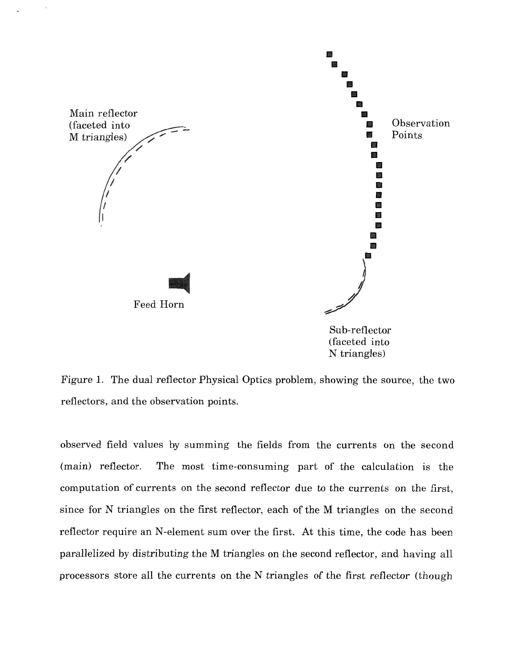

Figure 1. The dual reflector Physical Optics problem, showing the source, the two reflectors, and the observation points.

observed field values by summing the fields from the currents on the second (main) reflector. The most time-consuming part of the calculation is the computation of currents on the second reflector due to the currents on the first, since for N triangles on the first reflector, each of the M triangles on the second reflector require an N-element sum over the first. At this time, the code has been parallelized by distributing the M triangles on the second reflector, and having all processors store all the currents on the N triangles of the first reflector (though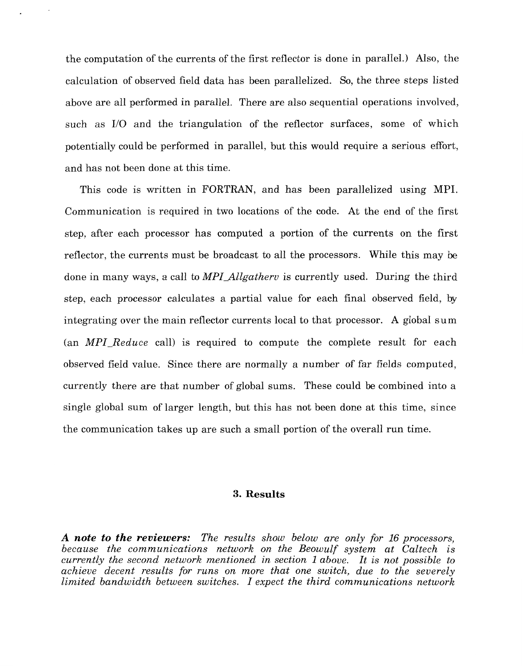the computation of the currents of the first reflector is done in parallel.) Also, the calculation of observed field data has been parallelized. So, the three steps listed above are all performed in parallel. There are also sequential operations involved, such as I/O and the triangulation of the reflector surfaces, some of which potentially could be performed in parallel, but this would require a serious effort, and has not been done at this time.

This code is written in FORTRAN, and has been parallelized using MPI. Communication is required in two locations of the code. At the end of the first step, after each processor has computed a portion of the currents on the first reflector, the currents must be broadcast to all the processors. While this may be done in many ways, a call to *MPI-Allgatherv* is currently used. During the third step, each processor calculates a partial value for each final observed field, by integrating over the main reflector currents local to that processor. **A** global sum (an *MPI-Reduce* call) is required to compute the complete result for each observed field value. Since there are normally a number of far fields computed, currently there are that number of global sums. These could be combined into a single global sum of larger length, but this has not been done at this time, since the communication takes up are such a small portion of the overall run time.

### **3. Results**

**A** *note to the reviewers: The results show below are only for 16 processors, because the communications network on the Beowulf system at Caltech is currently the second network mentioned in section 1 above. It is not possible to achieve decent results for runs on more that one switch, due to the severely limited bandwidth between switches. I expect the third communications network*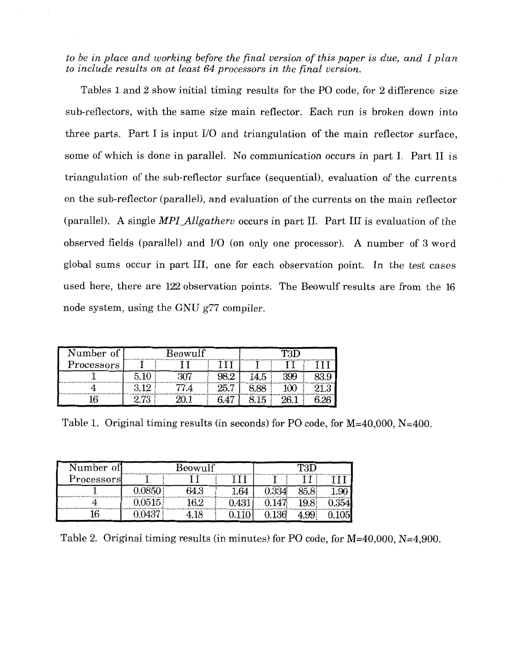<span id="page-6-0"></span>*to be in place and working before the final version of this paper is due, and I plan to include results on at least 64 processors in the final version.* 

Tables 1 and *2* show initial timing results for the PO code, for 2 difference size sub-reflectors, with the same size main reflector. Each run is broken down into three parts. Part I is input I/O and triangulation of the main reflector surface, some of which is done in parallel. No communication occurs in part I. Part I1 is triangulation of the sub-reflector surface (sequential), evaluation of the currents on the sub-reflector (parallel), and evaluation of the currents on the main reflector (parallel). **A** single *MPI-Allgatherv* occurs in part 11. Part I11 is evaluation of the observed fields (parallel) and I/O (on only one processor). **A** number of *3* word global sums occur in part **111,** one for each observation point. In the test cases used here, there are *122* observation points. The Beowulf results are from the 16 node system, using the GNU g77 compiler.

| Number of               | Beowulf |  |      | mo |     |  |  |
|-------------------------|---------|--|------|----|-----|--|--|
| Processors <sup>1</sup> |         |  |      |    |     |  |  |
|                         |         |  |      |    | 399 |  |  |
|                         |         |  | 25.7 |    |     |  |  |
|                         | $-1$    |  |      | 15 |     |  |  |

Table 1. Original timing results (in seconds) for PO code, for M=40,000, N=400.

| Number of  | Beowulf          |      |      |       |  |  |
|------------|------------------|------|------|-------|--|--|
| Processors |                  |      |      |       |  |  |
|            |                  | 64.3 | 1.64 | 0.334 |  |  |
|            | $0.0515^{\circ}$ | 62   |      |       |  |  |
|            |                  | 18   |      | 36    |  |  |

Table 2. Original timing results (in minutes) for PO code, for M=40,000, N=4,900.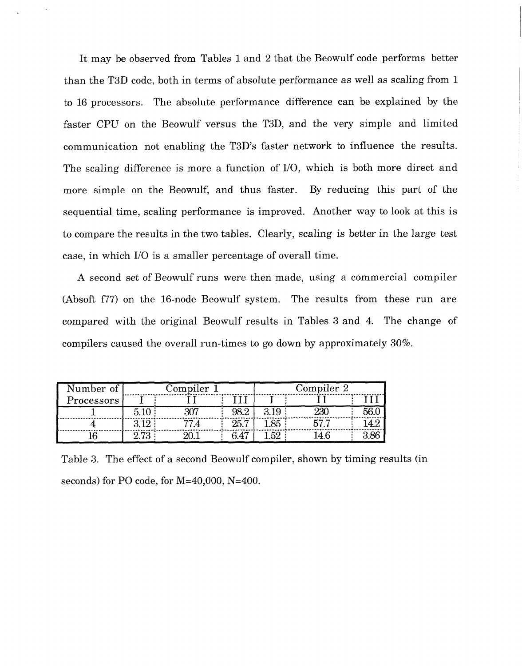<span id="page-7-0"></span>It may be observed from [Tables 1](#page-6-0) and 2 that the Beowulf code performs better than the T3D code, both in terms of absolute performance as well as scaling from 1 to 16 processors. The absolute performance difference can be explained by the faster CPU on the Beowulf versus the T3D, and the very simple and limited communication not enabling the T3D's faster network to influence the results. The scaling difference is more a function of I/O, which is both more direct and more simple on the Beowulf, and thus faster. By reducing this part of the sequential time, scaling performance is improved. Another way to look at this is to compare the results in the two tables. Clearly, scaling is better in the large test case, in which I/O is a smaller percentage of overall time.

A second set of Beowulf runs were then made, using a commercial compiler (Absoft f77) on the 16-node Beowulf system. The results from these run are compared with the original Beowulf results in Tables *3* and 4. The change of compilers caused the overall run-times to go down by approximately 30%.

| Number of   | Compiler 1 |  |                | $\rm{Complex~2}$ |  |  |  |
|-------------|------------|--|----------------|------------------|--|--|--|
| Processors' |            |  |                |                  |  |  |  |
|             |            |  |                |                  |  |  |  |
|             |            |  | 25<br>r        |                  |  |  |  |
|             |            |  | $\overline{a}$ |                  |  |  |  |

Table *3.* The effect of a second Beowulf compiler, shown by timing results (in seconds) for PO code, for M=40,000, N=400.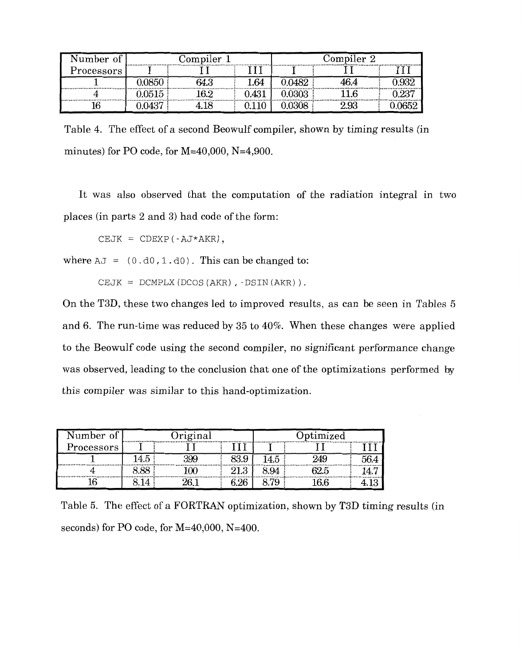| Number of  | Complier 1<br>. |       |    | $\rm{Complex~2}$<br> |    |  |  |
|------------|-----------------|-------|----|----------------------|----|--|--|
| Processors |                 |       |    |                      |    |  |  |
|            |                 | 64.3  | 64 |                      |    |  |  |
|            | 0515            | I Q V |    |                      |    |  |  |
|            |                 |       |    |                      | Q? |  |  |

Table 4. The effect of a second Beowulf compiler, shown by timing results (in minutes) for PO code, for M=40,000, N=4,900.

It was also observed that the computation of the radiation integral in two places (in parts 2 and 3) had code of the form:

 $CEJK = CDEXP (-AJ*AKR)$ ,

where  $AJ = (0.d0,1.d0)$ . This can be changed to:

CEJK =  $DCMPLX (DCOS (AKR)$ , - $DSIN (AKR)$ ).

On the T3D, these two changes led to improved results, as can be seen in Tables 5 and 6. The run-time was reduced by 35 to 40%. When these changes were applied to the Beowulf code using the second compiler, no significant performance change was observed, leading to the conclusion that one of the optimizations performed by this compiler was similar to this hand-optimization.

| lumber of               | riginal |   |                      | ptimized<br>,,,,,,,,,,,,,,,,,,,,,,,,,, |  |
|-------------------------|---------|---|----------------------|----------------------------------------|--|
| Processors <sup>1</sup> |         |   | ,,,,,,,,,,,,,,,,,,,, |                                        |  |
| <br>                    | ια      | c |                      |                                        |  |
|                         |         |   |                      |                                        |  |
|                         |         |   |                      |                                        |  |

Table 5. The effect of a FORTRAN optimization, shown by **T3D** timing results (in seconds) for PO code, for M=40,000, N=400.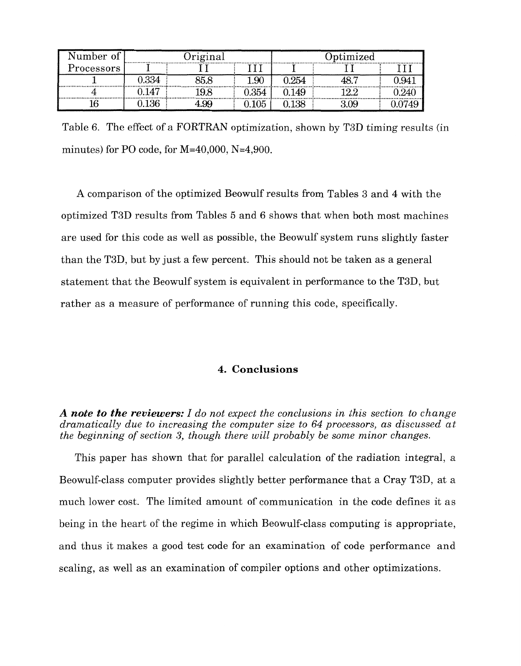| umber of   | riginal<br>.   |     |          | Jptimized |     |  |  |
|------------|----------------|-----|----------|-----------|-----|--|--|
| Processors |                |     |          |           |     |  |  |
|            | 0.334          |     | $1.90\,$ | 1.254     |     |  |  |
|            | $\overline{A}$ |     | 0.354    | 49        |     |  |  |
|            |                | .99 |          | .38       | .09 |  |  |

Table 6. The effect of a FORTRAN optimization, shown by T3D timing results (in minutes) for PO code, for  $M=40,000$ ,  $N=4,900$ .

**A** comparison of the optimized Beowulf results from [Tables](#page-7-0) *3* and 4 with the optimized T3D results from Tables 5 and 6 shows that when both most machines are used for this code as well as possible, the Beowulf system runs slightly faster than the T3D, but by just a few percent. This should not be taken as a general statement that the Beowulf system is equivalent in performance to the T3D, but rather as a measure of performance of running this code, specifically.

## **4. Conclusions**

*A note to the reviewers: I do not expect the conclusions in this section to change dramatically due to increasing the computer size to 64 processors, as discussed at the beginning of section 3, though there will probably be some minor changes.* 

This paper has shown that for parallel calculation of the radiation integral, a Beowulf-class computer provides slightly better performance that a Cray T3D, at a much lower cost. The limited amount of communication in the code defines it as being in the heart of the regime in which Beowulf-class computing is appropriate, and thus it makes a good test code for an examination of code performance and scaling, as well as an examination of compiler options and other optimizations.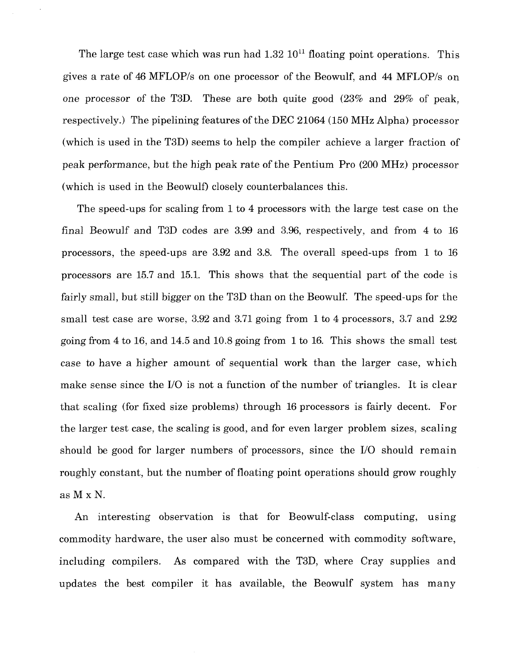The large test case which was run had  $1.32 \times 10^{11}$  floating point operations. This gives a rate of 46 MFLOP/s on one processor of the Beowulf, and **44** MFLOP/s on one processor of the T3D. These are both quite good (23% and 29% of peak, respectively.) The pipelining features of the DEC 21064 (150 MHz Alpha) processor (which is used in the T3D) seems to help the compiler achieve a larger fraction of peak performance, but the high peak rate of the Pentium Pro (200 MHz) processor (which is used in the Beowulf) closely counterbalances this.

The speed-ups for scaling from 1 to **4** processors with the large test case on the final Beowulf and T3D codes are 3.99 and 3.96, respectively, and from 4 to 16 processors, the speed-ups are 3.92 and 3.8. The overall speed-ups from 1 to 16 processors are 15.7 and 15.1. This shows that the sequential part of the code is fairly small, but still bigger on the T3D than on the Beowulf. The speed-ups for the small test case are worse, 3.92 and 3.71 going from 1 to 4 processors, 3.7 and 2.92 going from 4 to 16, and 14.5 and 10.8 going from 1 to 16. This shows the small test case to have a higher amount of sequential work than the larger case, which make sense since the I/O is not a function of the number of triangles. It is clear that scaling (for fixed size problems) through 16 processors is fairly decent. For the larger test case, the scaling is good, and for even larger problem sizes, scaling should be good for larger numbers of processors, since the I/O should remain roughly constant, but the number of floating point operations should grow roughly as M x N.

An interesting observation is that for Beowulf-class computing, using commodity hardware, the user also must be concerned with commodity software, including compilers. As compared with the T3D, where Cray supplies and updates the best compiler it has available, the Beowulf system has many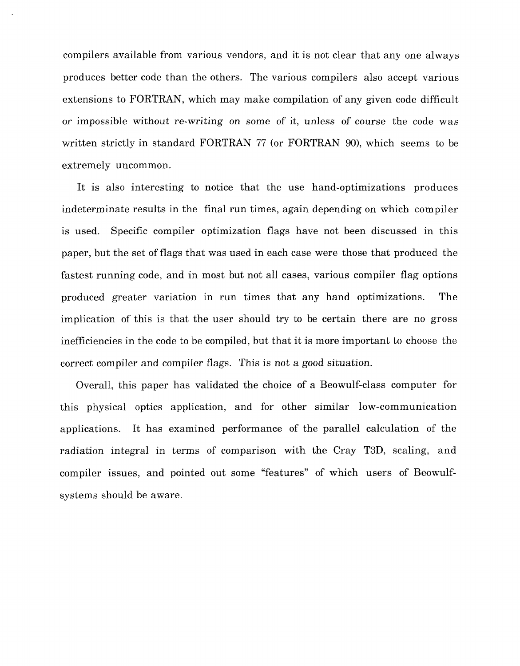compilers available from various vendors, and it is not clear that any one always produces better code than the others. The various compilers also accept various extensions to FORTRAN, which may make compilation of any given code difficult or impossible without re-writing on some of it, unless of course the code was written strictly in standard FORTRAN 77 (or FORTRAN go), which seems to be extremely uncommon.

It is also interesting to notice that the use hand-optimizations produces indeterminate results in the final run times, again depending on which compiler is used. Specific compiler optimization flags have not been discussed in this paper, but the set of flags that was used in each case were those that produced the fastest running code, and in most but not all cases, various compiler flag options produced greater variation in run times that any hand optimizations. The implication of this is that the user should try to be certain there are no gross inefficiencies in the code to be compiled, but that it is more important to choose the correct compiler and compiler flags. This is not a good situation.

Overall, this paper has validated the choice of a Beowulf-class computer for this physical optics application, and for other similar low-communication applications. It has examined performance of the parallel calculation of the radiation integral in terms of comparison with the Cray T3D, scaling, and compiler issues, and pointed out some "features" of which users of Beowulfsystems should be aware.